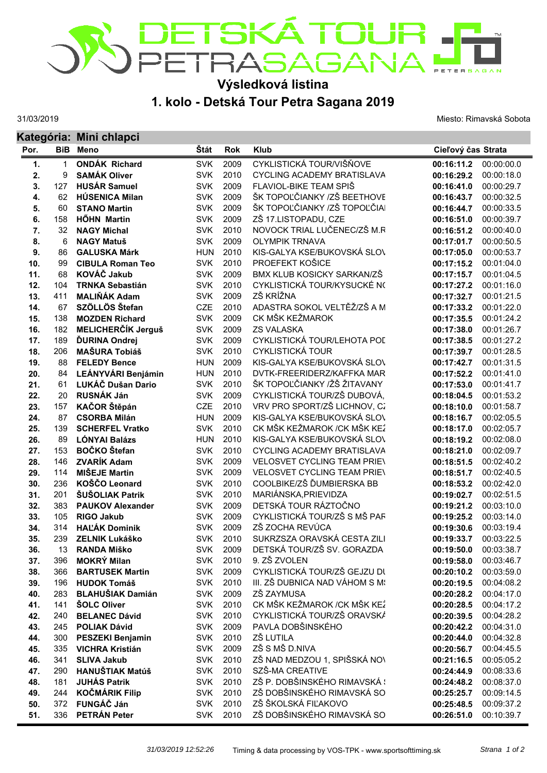

## **Výsledková listina**

31/03/2019

## **1. kolo - Detská Tour Petra Sagana 2019**

Miesto: Rimavská Sobota

|      |            | Kategória: Mini chlapci   |             |      |                                    |                    |            |  |  |
|------|------------|---------------------------|-------------|------|------------------------------------|--------------------|------------|--|--|
| Por. | <b>BiB</b> | <b>Meno</b>               | <b>Stát</b> | Rok  | <b>Klub</b>                        | Cieľový čas Strata |            |  |  |
| 1.   | 1          | <b>ONDÁK Richard</b>      | <b>SVK</b>  | 2009 | CYKLISTICKÁ TOUR/VIŠŇOVE           | 00:16:11.2         | 00:00:00.0 |  |  |
| 2.   | 9          | <b>SAMÁK Oliver</b>       | <b>SVK</b>  | 2010 | <b>CYCLING ACADEMY BRATISLAVA</b>  | 00:16:29.2         | 00:00:18.0 |  |  |
| 3.   | 127        | <b>HUSÁR Samuel</b>       | <b>SVK</b>  | 2009 | FLAVIOL-BIKE TEAM SPIŠ             | 00:16:41.0         | 00:00:29.7 |  |  |
| 4.   | 62         | <b>HÚSENICA Milan</b>     | <b>SVK</b>  | 2009 | ŠK TOPOĽČIANKY /ZŠ BEETHOVE        | 00:16:43.7         | 00:00:32.5 |  |  |
| 5.   | 60         | <b>STANO Martin</b>       | <b>SVK</b>  | 2009 | ŠK TOPOĽČIANKY /ZŠ TOPOĽČIAI       | 00:16:44.7         | 00:00:33.5 |  |  |
| 6.   | 158        | <b>HÖHN Martin</b>        | <b>SVK</b>  | 2009 | ZŠ 17.LISTOPADU, CZE               | 00:16:51.0         | 00:00:39.7 |  |  |
| 7.   | 32         | <b>NAGY Michal</b>        | <b>SVK</b>  | 2010 | NOVOCK TRIAL LUČENEC/ZŠ M.R        | 00:16:51.2         | 00:00:40.0 |  |  |
| 8.   | 6          | <b>NAGY Matuš</b>         | <b>SVK</b>  | 2009 | <b>OLYMPIK TRNAVA</b>              | 00:17:01.7         | 00:00:50.5 |  |  |
| 9.   | 86         | <b>GALUSKA Márk</b>       | <b>HUN</b>  | 2010 | KIS-GALYA KSE/BUKOVSKÁ SLOV        | 00:17:05.0         | 00:00:53.7 |  |  |
| 10.  | 99         | <b>CIBULA Roman Teo</b>   | <b>SVK</b>  | 2010 | PROEFEKT KOŠICE                    | 00:17:15.2         | 00:01:04.0 |  |  |
| 11.  | 68         | KOVÁČ Jakub               | <b>SVK</b>  | 2009 | BMX KLUB KOSICKY SARKAN/ZŠ         | 00:17:15.7         | 00:01:04.5 |  |  |
| 12.  | 104        | <b>TRNKA Sebastián</b>    | <b>SVK</b>  | 2010 | CYKLISTICKÁ TOUR/KYSUCKÉ N(        | 00:17:27.2         | 00:01:16.0 |  |  |
| 13.  | 411        | <b>MALIŇÁK Adam</b>       | <b>SVK</b>  | 2009 | ZŠ KRÍŽNA                          | 00:17:32.7         | 00:01:21.5 |  |  |
| 14.  | 67         | SZÖLLÖS Štefan            | CZE         | 2010 | ADASTRA SOKOL VELTĚŽ/ZŠ A M        | 00:17:33.2         | 00:01:22.0 |  |  |
| 15.  | 138        | <b>MOZDEN Richard</b>     | <b>SVK</b>  | 2009 | CK MŠK KEŽMAROK                    | 00:17:35.5         | 00:01:24.2 |  |  |
| 16.  | 182        | <b>MELICHERČÍK Jerguš</b> | <b>SVK</b>  | 2009 | <b>ZS VALASKA</b>                  | 00:17:38.0         | 00:01:26.7 |  |  |
| 17.  | 189        | <b>ĎURINA Ondrej</b>      | <b>SVK</b>  | 2009 | CYKLISTICKÁ TOUR/LEHOTA POL        | 00:17:38.5         | 00:01:27.2 |  |  |
| 18.  | 206        | <b>MAŠURA Tobiáš</b>      | <b>SVK</b>  | 2010 | <b>CYKLISTICKÁ TOUR</b>            | 00:17:39.7         | 00:01:28.5 |  |  |
| 19.  | 88         | <b>FELEDY Bence</b>       | <b>HUN</b>  | 2009 | KIS-GALYA KSE/BUKOVSKÁ SLOV        | 00:17:42.7         | 00:01:31.5 |  |  |
| 20.  | 84         | <b>LEÁNYVÁRI Benjámin</b> | <b>HUN</b>  | 2010 | DVTK-FREERIDERZ/KAFFKA MAR         | 00:17:52.2         | 00:01:41.0 |  |  |
| 21.  | 61         | LUKÁČ Dušan Dario         | <b>SVK</b>  | 2010 | ŠK TOPOĽČIANKY /ŽŠ ŽITAVANY        | 00:17:53.0         | 00:01:41.7 |  |  |
| 22.  | 20         | RUSNÁK Ján                | <b>SVK</b>  | 2009 | CYKLISTICKÁ TOUR/ZŠ DUBOVÁ,        | 00:18:04.5         | 00:01:53.2 |  |  |
| 23.  | 157        | KAČOR Štěpán              | CZE         | 2010 | VRV PRO SPORT/ZŠ LICHNOV, CZ       | 00:18:10.0         | 00:01:58.7 |  |  |
| 24.  | 87         | <b>CSORBA Milán</b>       | <b>HUN</b>  | 2009 | KIS-GALYA KSE/BUKOVSKÁ SLOV        | 00:18:16.7         | 00:02:05.5 |  |  |
| 25.  | 139        | <b>SCHERFEL Vratko</b>    | <b>SVK</b>  | 2010 | CK MŠK KEŽMAROK / CK MŠK KEŽ       | 00:18:17.0         | 00:02:05.7 |  |  |
| 26.  | 89         | <b>LÓNYAI Balázs</b>      | <b>HUN</b>  | 2010 | KIS-GALYA KSE/BUKOVSKÁ SLOV        | 00:18:19.2         | 00:02:08.0 |  |  |
| 27.  | 153        | BOČKO Štefan              | <b>SVK</b>  | 2010 | <b>CYCLING ACADEMY BRATISLAVA</b>  | 00:18:21.0         | 00:02:09.7 |  |  |
| 28.  | 146        | <b>ZVARÍK Adam</b>        | <b>SVK</b>  | 2009 | <b>VELOSVET CYCLING TEAM PRIEV</b> | 00:18:51.5         | 00:02:40.2 |  |  |
| 29.  | 114        | <b>MIŠEJE Martin</b>      | <b>SVK</b>  | 2009 | <b>VELOSVET CYCLING TEAM PRIEV</b> | 00:18:51.7         | 00:02:40.5 |  |  |
| 30.  | 236        | KOŠČO Leonard             | <b>SVK</b>  | 2010 | COOLBIKE/ZŠ ĎUMBIERSKA BB          | 00:18:53.2         | 00:02:42.0 |  |  |
| 31.  | 201        | <b>ŠUŠOLIAK Patrik</b>    | <b>SVK</b>  | 2010 | MARIÁNSKA, PRIEVIDZA               | 00:19:02.7         | 00:02:51.5 |  |  |
| 32.  | 383        | <b>PAUKOV Alexander</b>   | <b>SVK</b>  | 2009 | DETSKÁ TOUR RÁZTOČNO               | 00:19:21.2         | 00:03:10.0 |  |  |
| 33.  | 105        | <b>RIGO Jakub</b>         | <b>SVK</b>  | 2009 | CYKLISTICKÁ TOUR/ZŠ S MŠ PAF       | 00:19:25.2         | 00:03:14.0 |  |  |
| 34.  | 314        | <b>HALÁK Dominik</b>      | <b>SVK</b>  | 2009 | ZŠ ZOCHA REVÚCA                    | 00:19:30.6         | 00:03:19.4 |  |  |
| 35.  | 239        | ZELNIK Lukáško            | <b>SVK</b>  | 2010 | SUKRZSZA ORAVSKÁ CESTA ZILI        | 00:19:33.7         | 00:03:22.5 |  |  |
| 36.  | 13         | <b>RANDA Miško</b>        | <b>SVK</b>  | 2009 | DETSKÁ TOUR/ZŠ SV. GORAZDA         | 00:19:50.0         | 00:03:38.7 |  |  |
| 37.  | 396        | <b>MOKRÝ Milan</b>        | <b>SVK</b>  | 2010 | 9. ZŠ ZVOLEN                       | 00:19:58.0         | 00:03:46.7 |  |  |
| 38.  | 366        | <b>BARTUSEK Martin</b>    | <b>SVK</b>  | 2009 | CYKLISTICKÁ TOUR/ZŠ GEJZU Dl       | 00:20:10.2         | 00:03:59.0 |  |  |
| 39.  | 196        | <b>HUDOK Tomáš</b>        | <b>SVK</b>  | 2010 | III. ZŠ DUBNICA NAD VÁHOM S M!     | 00:20:19.5         | 00:04:08.2 |  |  |
| 40.  | 283        | <b>BLAHUŠIAK Damián</b>   | <b>SVK</b>  | 2009 | ZŠ ZAYMUSA                         | 00:20:28.2         | 00:04:17.0 |  |  |
| 41.  | 141        | <b>ŠOLC Oliver</b>        | <b>SVK</b>  | 2010 | CK MŠK KEŽMAROK / CK MŠK KEŽ       | 00:20:28.5         | 00:04:17.2 |  |  |
| 42.  | 240        | <b>BELANEC Dávid</b>      | <b>SVK</b>  | 2010 | CYKLISTICKÁ TOUR/ZŠ ORAVSKÁ        | 00:20:39.5         | 00:04:28.2 |  |  |
| 43.  | 245        | <b>POLIAK Dávid</b>       | <b>SVK</b>  | 2009 | PAVLA DOBŠINSKÉHO                  | 00:20:42.2         | 00:04:31.0 |  |  |
| 44.  | 300        | <b>PESZEKI Benjamin</b>   | <b>SVK</b>  | 2010 | ZŠ LUTILA                          | 00:20:44.0         | 00:04:32.8 |  |  |
| 45.  | 335        | <b>VICHRA Kristián</b>    | <b>SVK</b>  | 2009 | ZŠ S MŠ D.NIVA                     | 00:20:56.7         | 00:04:45.5 |  |  |
| 46.  | 341        | <b>SLIVA Jakub</b>        | <b>SVK</b>  | 2010 | ZŠ NAD MEDZOU 1, SPIŠSKÁ NOV       | 00:21:16.5         | 00:05:05.2 |  |  |
| 47.  | 290        | <b>HANUŠTIAK Matúš</b>    | <b>SVK</b>  | 2010 | SZŠ-MA CREATIVE                    | 00:24:44.9         | 00:08:33.6 |  |  |
| 48.  | 181        | <b>JUHÁS Patrik</b>       | <b>SVK</b>  | 2010 | ZŠ P. DOBŠINSKÉHO RIMAVSKÁ !       | 00:24:48.2         | 00:08:37.0 |  |  |
| 49.  | 244        | <b>KOČMÁRIK Filip</b>     | <b>SVK</b>  | 2010 | ZŠ DOBŠINSKÉHO RIMAVSKÁ SO         | 00:25:25.7         | 00:09:14.5 |  |  |
| 50.  | 372        | FUNGÁČ Ján                | <b>SVK</b>  | 2010 | ZŠ ŠKOLSKÁ FIĽAKOVO                | 00:25:48.5         | 00:09:37.2 |  |  |
| 51.  | 336        | PETRÁN Peter              | <b>SVK</b>  | 2010 | ZŠ DOBŠINSKÉHO RIMAVSKÁ SO         | 00:26:51.0         | 00:10:39.7 |  |  |